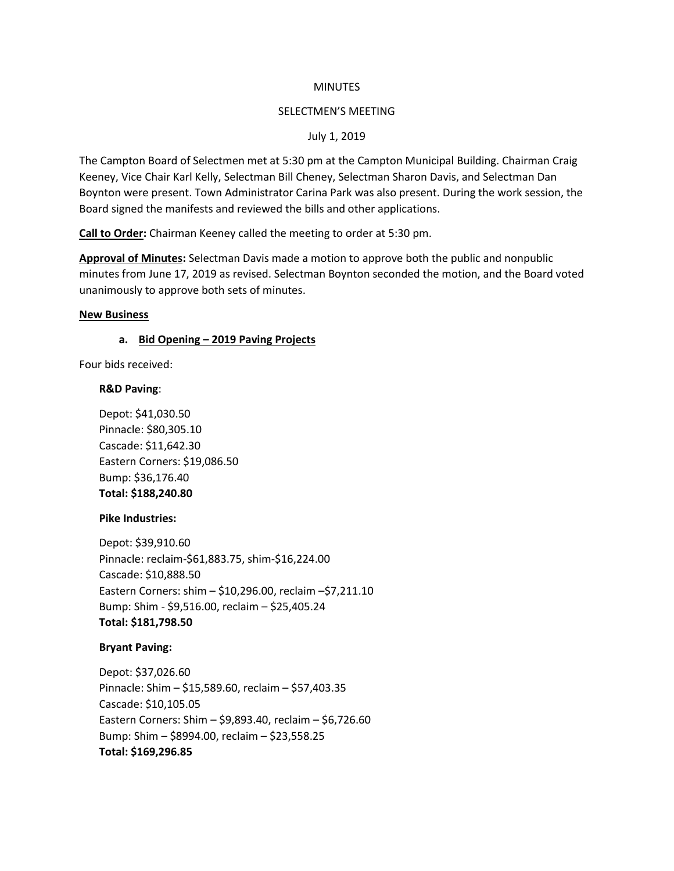#### **MINUTES**

### SELECTMEN'S MEETING

### July 1, 2019

The Campton Board of Selectmen met at 5:30 pm at the Campton Municipal Building. Chairman Craig Keeney, Vice Chair Karl Kelly, Selectman Bill Cheney, Selectman Sharon Davis, and Selectman Dan Boynton were present. Town Administrator Carina Park was also present. During the work session, the Board signed the manifests and reviewed the bills and other applications.

**Call to Order:** Chairman Keeney called the meeting to order at 5:30 pm.

**Approval of Minutes:** Selectman Davis made a motion to approve both the public and nonpublic minutes from June 17, 2019 as revised. Selectman Boynton seconded the motion, and the Board voted unanimously to approve both sets of minutes.

### **New Business**

### **a. Bid Opening – 2019 Paving Projects**

Four bids received:

### **R&D Paving**:

Depot: \$41,030.50 Pinnacle: \$80,305.10 Cascade: \$11,642.30 Eastern Corners: \$19,086.50 Bump: \$36,176.40 **Total: \$188,240.80**

### **Pike Industries:**

Depot: \$39,910.60 Pinnacle: reclaim-\$61,883.75, shim-\$16,224.00 Cascade: \$10,888.50 Eastern Corners: shim – \$10,296.00, reclaim –\$7,211.10 Bump: Shim - \$9,516.00, reclaim – \$25,405.24 **Total: \$181,798.50**

### **Bryant Paving:**

Depot: \$37,026.60 Pinnacle: Shim – \$15,589.60, reclaim – \$57,403.35 Cascade: \$10,105.05 Eastern Corners: Shim – \$9,893.40, reclaim – \$6,726.60 Bump: Shim – \$8994.00, reclaim – \$23,558.25 **Total: \$169,296.85**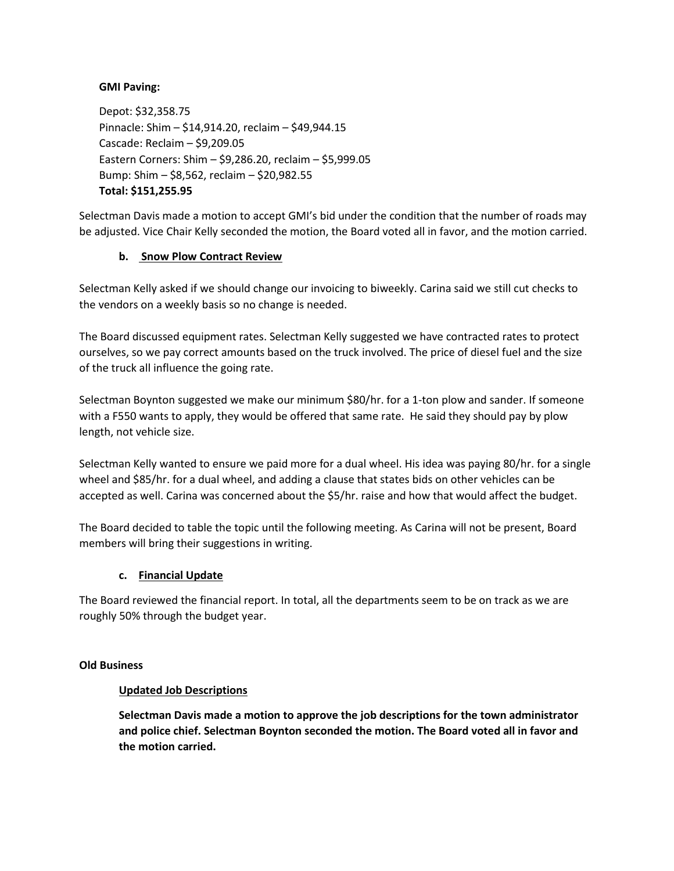# **GMI Paving:**

Depot: \$32,358.75 Pinnacle: Shim – \$14,914.20, reclaim – \$49,944.15 Cascade: Reclaim – \$9,209.05 Eastern Corners: Shim – \$9,286.20, reclaim – \$5,999.05 Bump: Shim – \$8,562, reclaim – \$20,982.55 **Total: \$151,255.95**

Selectman Davis made a motion to accept GMI's bid under the condition that the number of roads may be adjusted. Vice Chair Kelly seconded the motion, the Board voted all in favor, and the motion carried.

# **b. Snow Plow Contract Review**

Selectman Kelly asked if we should change our invoicing to biweekly. Carina said we still cut checks to the vendors on a weekly basis so no change is needed.

The Board discussed equipment rates. Selectman Kelly suggested we have contracted rates to protect ourselves, so we pay correct amounts based on the truck involved. The price of diesel fuel and the size of the truck all influence the going rate.

Selectman Boynton suggested we make our minimum \$80/hr. for a 1-ton plow and sander. If someone with a F550 wants to apply, they would be offered that same rate. He said they should pay by plow length, not vehicle size.

Selectman Kelly wanted to ensure we paid more for a dual wheel. His idea was paying 80/hr. for a single wheel and \$85/hr. for a dual wheel, and adding a clause that states bids on other vehicles can be accepted as well. Carina was concerned about the \$5/hr. raise and how that would affect the budget.

The Board decided to table the topic until the following meeting. As Carina will not be present, Board members will bring their suggestions in writing.

# **c. Financial Update**

The Board reviewed the financial report. In total, all the departments seem to be on track as we are roughly 50% through the budget year.

## **Old Business**

## **Updated Job Descriptions**

**Selectman Davis made a motion to approve the job descriptions for the town administrator and police chief. Selectman Boynton seconded the motion. The Board voted all in favor and the motion carried.**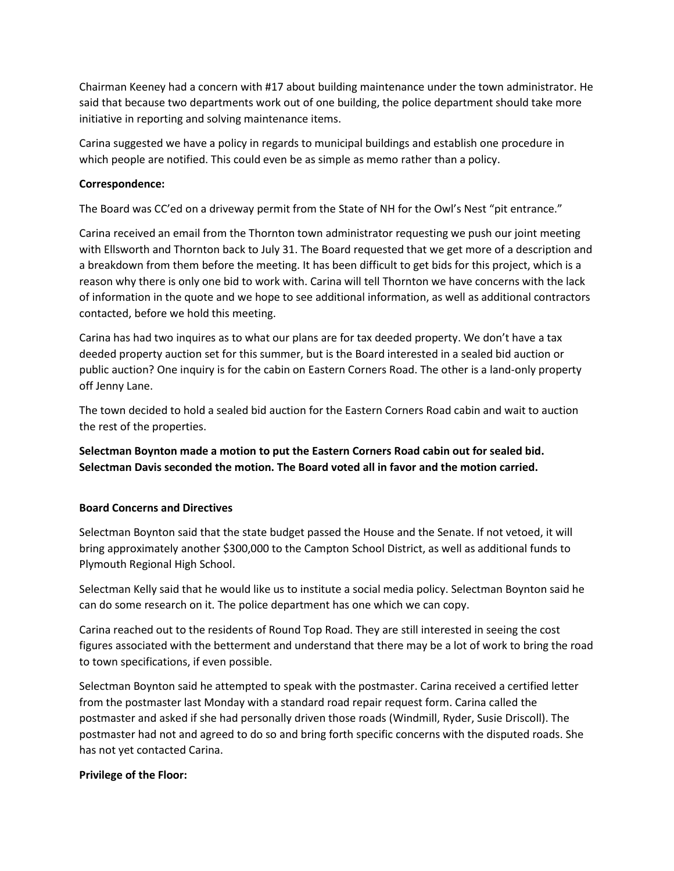Chairman Keeney had a concern with #17 about building maintenance under the town administrator. He said that because two departments work out of one building, the police department should take more initiative in reporting and solving maintenance items.

Carina suggested we have a policy in regards to municipal buildings and establish one procedure in which people are notified. This could even be as simple as memo rather than a policy.

## **Correspondence:**

The Board was CC'ed on a driveway permit from the State of NH for the Owl's Nest "pit entrance."

Carina received an email from the Thornton town administrator requesting we push our joint meeting with Ellsworth and Thornton back to July 31. The Board requested that we get more of a description and a breakdown from them before the meeting. It has been difficult to get bids for this project, which is a reason why there is only one bid to work with. Carina will tell Thornton we have concerns with the lack of information in the quote and we hope to see additional information, as well as additional contractors contacted, before we hold this meeting.

Carina has had two inquires as to what our plans are for tax deeded property. We don't have a tax deeded property auction set for this summer, but is the Board interested in a sealed bid auction or public auction? One inquiry is for the cabin on Eastern Corners Road. The other is a land-only property off Jenny Lane.

The town decided to hold a sealed bid auction for the Eastern Corners Road cabin and wait to auction the rest of the properties.

**Selectman Boynton made a motion to put the Eastern Corners Road cabin out for sealed bid. Selectman Davis seconded the motion. The Board voted all in favor and the motion carried.**

## **Board Concerns and Directives**

Selectman Boynton said that the state budget passed the House and the Senate. If not vetoed, it will bring approximately another \$300,000 to the Campton School District, as well as additional funds to Plymouth Regional High School.

Selectman Kelly said that he would like us to institute a social media policy. Selectman Boynton said he can do some research on it. The police department has one which we can copy.

Carina reached out to the residents of Round Top Road. They are still interested in seeing the cost figures associated with the betterment and understand that there may be a lot of work to bring the road to town specifications, if even possible.

Selectman Boynton said he attempted to speak with the postmaster. Carina received a certified letter from the postmaster last Monday with a standard road repair request form. Carina called the postmaster and asked if she had personally driven those roads (Windmill, Ryder, Susie Driscoll). The postmaster had not and agreed to do so and bring forth specific concerns with the disputed roads. She has not yet contacted Carina.

## **Privilege of the Floor:**